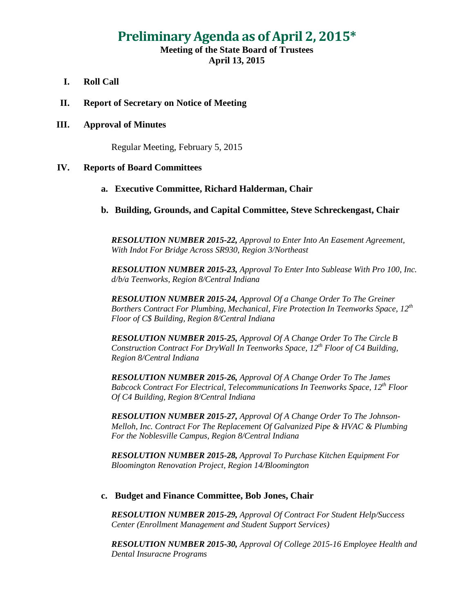# **Preliminary Agenda as of April 2, 2015\***

## **Meeting of the State Board of Trustees April 13, 2015**

- **I. Roll Call**
- **II. Report of Secretary on Notice of Meeting**

#### **III. Approval of Minutes**

Regular Meeting, February 5, 2015

#### **IV. Reports of Board Committees**

#### **a. Executive Committee, Richard Halderman, Chair**

**b. Building, Grounds, and Capital Committee, Steve Schreckengast, Chair**

*RESOLUTION NUMBER 2015-22, Approval to Enter Into An Easement Agreement, With Indot For Bridge Across SR930, Region 3/Northeast*

*RESOLUTION NUMBER 2015-23, Approval To Enter Into Sublease With Pro 100, Inc. d/b/a Teenworks, Region 8/Central Indiana*

*RESOLUTION NUMBER 2015-24, Approval Of a Change Order To The Greiner Borthers Contract For Plumbing, Mechanical, Fire Protection In Teenworks Space, 12<sup>th</sup> Floor of C\$ Building, Region 8/Central Indiana*

*RESOLUTION NUMBER 2015-25, Approval Of A Change Order To The Circle B Construction Contract For DryWall In Teenworks Space, 12th Floor of C4 Building, Region 8/Central Indiana*

*RESOLUTION NUMBER 2015-26, Approval Of A Change Order To The James Babcock Contract For Electrical, Telecommunications In Teenworks Space, 12th Floor Of C4 Building, Region 8/Central Indiana*

*RESOLUTION NUMBER 2015-27, Approval Of A Change Order To The Johnson-Melloh, Inc. Contract For The Replacement Of Galvanized Pipe & HVAC & Plumbing For the Noblesville Campus, Region 8/Central Indiana*

*RESOLUTION NUMBER 2015-28, Approval To Purchase Kitchen Equipment For Bloomington Renovation Project, Region 14/Bloomington*

#### **c. Budget and Finance Committee, Bob Jones, Chair**

*RESOLUTION NUMBER 2015-29, Approval Of Contract For Student Help/Success Center (Enrollment Management and Student Support Services)*

*RESOLUTION NUMBER 2015-30, Approval Of College 2015-16 Employee Health and Dental Insuracne Programs*